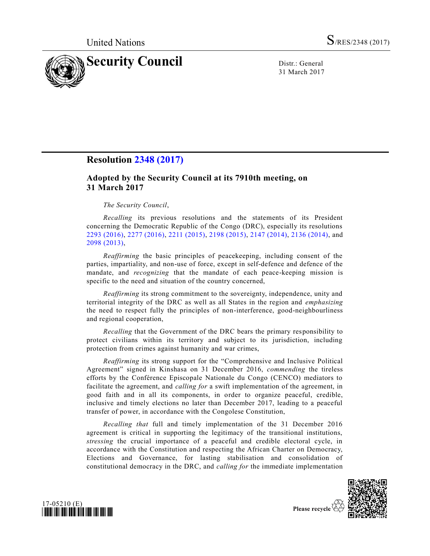

31 March 2017

# **Resolution [2348 \(2017\)](http://undocs.org/S/RES/2348(2017))**

## **Adopted by the Security Council at its 7910th meeting, on 31 March 2017**

## *The Security Council*,

*Recalling* its previous resolutions and the statements of its President concerning the Democratic Republic of the Congo (DRC), especially its resolutions [2293 \(2016\),](http://undocs.org/S/RES/2293(2016)) [2277 \(2016\),](http://undocs.org/S/RES/2277(2016)) [2211 \(2015\),](http://undocs.org/S/RES/2211(2015)) [2198 \(2015\),](http://undocs.org/S/RES/2198(2015)) [2147 \(2014\),](http://undocs.org/S/RES/2147(2014)) [2136 \(2014\),](http://undocs.org/S/RES/2136(2014)) and [2098 \(2013\),](http://undocs.org/S/RES/2098(2013))

*Reaffirming* the basic principles of peacekeeping, including consent of the parties, impartiality, and non-use of force, except in self-defence and defence of the mandate, and *recognizing* that the mandate of each peace-keeping mission is specific to the need and situation of the country concerned,

*Reaffirming* its strong commitment to the sovereignty, independence, unity and territorial integrity of the DRC as well as all States in the region and *emphasizing* the need to respect fully the principles of non-interference, good-neighbourliness and regional cooperation,

*Recalling* that the Government of the DRC bears the primary responsibility to protect civilians within its territory and subject to its jurisdiction, including protection from crimes against humanity and war crimes,

*Reaffirming* its strong support for the "Comprehensive and Inclusive Political Agreement" signed in Kinshasa on 31 December 2016, *commending* the tireless efforts by the Conférence Episcopale Nationale du Congo (CENCO) mediators to facilitate the agreement, and *calling for* a swift implementation of the agreement, in good faith and in all its components, in order to organize peaceful, credible, inclusive and timely elections no later than December 2017, leading to a peaceful transfer of power, in accordance with the Congolese Constitution,

*Recalling that* full and timely implementation of the 31 December 2016 agreement is critical in supporting the legitimacy of the transitional institutions, *stressing* the crucial importance of a peaceful and credible electoral cycle, in accordance with the Constitution and respecting the African Charter on Democracy, Elections and Governance, for lasting stabilisation and consolidation of constitutional democracy in the DRC, and *calling for* the immediate implementation





Please recycle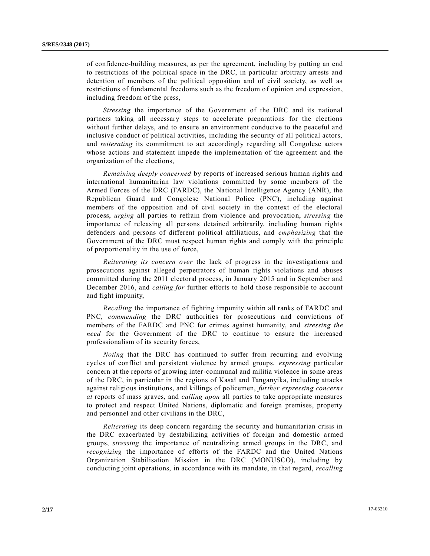of confidence-building measures, as per the agreement, including by putting an end to restrictions of the political space in the DRC, in particular arbitrary arrests and detention of members of the political opposition and of civil society, as well as restrictions of fundamental freedoms such as the freedom of opinion and expression, including freedom of the press,

*Stressing* the importance of the Government of the DRC and its national partners taking all necessary steps to accelerate preparations for the elections without further delays, and to ensure an environment conducive to the peaceful and inclusive conduct of political activities, including the security of all political actors, and *reiterating* its commitment to act accordingly regarding all Congolese actors whose actions and statement impede the implementation of the agreement and the organization of the elections,

*Remaining deeply concerned* by reports of increased serious human rights and international humanitarian law violations committed by some members of the Armed Forces of the DRC (FARDC), the National Intelligence Agency (ANR), the Republican Guard and Congolese National Police (PNC), including against members of the opposition and of civil society in the context of the electoral process, *urging* all parties to refrain from violence and provocation, *stressing* the importance of releasing all persons detained arbitrarily, including human rights defenders and persons of different political affiliations, and *emphasizing* that the Government of the DRC must respect human rights and comply with the principle of proportionality in the use of force,

*Reiterating its concern over* the lack of progress in the investigations and prosecutions against alleged perpetrators of human rights violations and abuses committed during the 2011 electoral process, in January 2015 and in September and December 2016, and *calling for* further efforts to hold those responsible to account and fight impunity,

*Recalling* the importance of fighting impunity within all ranks of FARDC and PNC, *commending* the DRC authorities for prosecutions and convictions of members of the FARDC and PNC for crimes against humanity, and *stressing the need* for the Government of the DRC to continue to ensure the increased professionalism of its security forces,

*Noting* that the DRC has continued to suffer from recurring and evolving cycles of conflict and persistent violence by armed groups, *expressing* particular concern at the reports of growing inter-communal and militia violence in some areas of the DRC, in particular in the regions of Kasaï and Tanganyika, including attacks against religious institutions, and killings of policemen, *further expressing concerns at* reports of mass graves, and *calling upon* all parties to take appropriate measures to protect and respect United Nations, diplomatic and foreign premises, property and personnel and other civilians in the DRC,

*Reiterating* its deep concern regarding the security and humanitarian crisis in the DRC exacerbated by destabilizing activities of foreign and domestic a rmed groups, *stressing* the importance of neutralizing armed groups in the DRC, and *recognizing* the importance of efforts of the FARDC and the United Nations Organization Stabilisation Mission in the DRC (MONUSCO), including by conducting joint operations, in accordance with its mandate, in that regard, *recalling*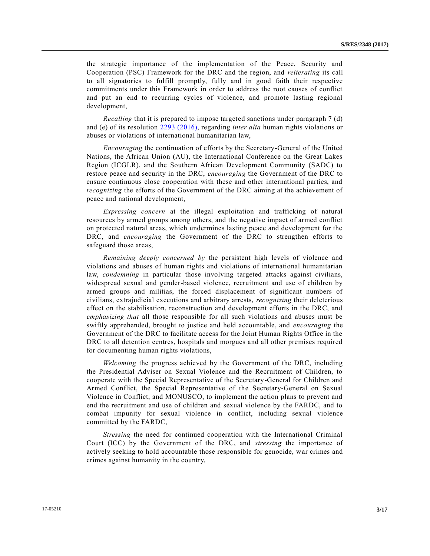the strategic importance of the implementation of the Peace, Security and Cooperation (PSC) Framework for the DRC and the region, and *reiterating* its call to all signatories to fulfill promptly, fully and in good faith their respective commitments under this Framework in order to address the root causes of conflict and put an end to recurring cycles of violence, and promote lasting regional development,

*Recalling* that it is prepared to impose targeted sanctions under paragraph 7 (d) and (e) of its resolution [2293 \(2016\),](http://undocs.org/S/RES/2293(2016)) regarding *inter alia* human rights violations or abuses or violations of international humanitarian law,

*Encouraging* the continuation of efforts by the Secretary-General of the United Nations, the African Union (AU), the International Conference on the Great Lakes Region (ICGLR), and the Southern African Development Community (SADC) to restore peace and security in the DRC, *encouraging* the Government of the DRC to ensure continuous close cooperation with these and other international parties, and *recognizing* the efforts of the Government of the DRC aiming at the achievement of peace and national development,

*Expressing concern* at the illegal exploitation and trafficking of natural resources by armed groups among others, and the negative impact of armed conflict on protected natural areas, which undermines lasting peace and development for the DRC, and *encouraging* the Government of the DRC to strengthen efforts to safeguard those areas,

*Remaining deeply concerned by* the persistent high levels of violence and violations and abuses of human rights and violations of international humanitarian law, *condemning* in particular those involving targeted attacks against civilians, widespread sexual and gender-based violence, recruitment and use of children by armed groups and militias, the forced displacement of significant numbers of civilians, extrajudicial executions and arbitrary arrests, *recognizing* their deleterious effect on the stabilisation, reconstruction and development efforts in the DRC, and *emphasizing that* all those responsible for all such violations and abuses must be swiftly apprehended, brought to justice and held accountable, and *encouraging* the Government of the DRC to facilitate access for the Joint Human Rights Office in the DRC to all detention centres, hospitals and morgues and all other premises required for documenting human rights violations,

*Welcoming* the progress achieved by the Government of the DRC, including the Presidential Adviser on Sexual Violence and the Recruitment of Children, to cooperate with the Special Representative of the Secretary-General for Children and Armed Conflict, the Special Representative of the Secretary-General on Sexual Violence in Conflict, and MONUSCO, to implement the action plans to prevent and end the recruitment and use of children and sexual violence by the FARDC, and to combat impunity for sexual violence in conflict, including sexual violence committed by the FARDC,

*Stressing* the need for continued cooperation with the International Criminal Court (ICC) by the Government of the DRC, and *stressing* the importance of actively seeking to hold accountable those responsible for genocide, war crimes and crimes against humanity in the country,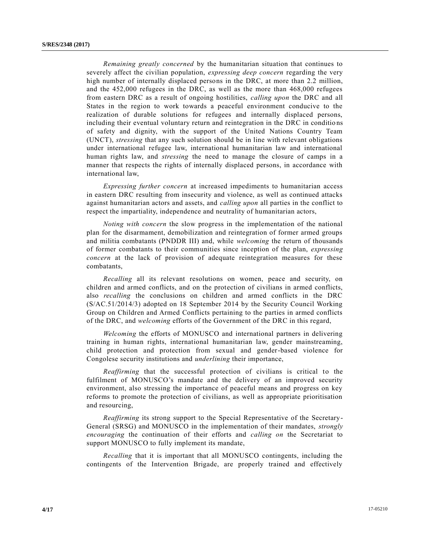*Remaining greatly concerned* by the humanitarian situation that continues to severely affect the civilian population, *expressing deep concern* regarding the very high number of internally displaced persons in the DRC, at more than 2.2 million, and the 452,000 refugees in the DRC, as well as the more than 468,000 refugees from eastern DRC as a result of ongoing hostilities, *calling upon* the DRC and all States in the region to work towards a peaceful environment conducive to the realization of durable solutions for refugees and internally displaced persons, including their eventual voluntary return and reintegration in the DRC in conditio ns of safety and dignity, with the support of the United Nations Country Team (UNCT), *stressing* that any such solution should be in line with relevant obligations under international refugee law, international humanitarian law and international human rights law, and *stressing* the need to manage the closure of camps in a manner that respects the rights of internally displaced persons, in accordance with international law,

*Expressing further concern* at increased impediments to humanitarian access in eastern DRC resulting from insecurity and violence, as well as continued attacks against humanitarian actors and assets, and *calling upon* all parties in the conflict to respect the impartiality, independence and neutrality of humanitarian actors,

*Noting with concern* the slow progress in the implementation of the national plan for the disarmament, demobilization and reintegration of former armed groups and militia combatants (PNDDR III) and, while *welcoming* the return of thousands of former combatants to their communities since inception of the plan, *expressing concern* at the lack of provision of adequate reintegration measures for these combatants,

*Recalling* all its relevant resolutions on women, peace and security, on children and armed conflicts, and on the protection of civilians in armed conflicts, also *recalling* the conclusions on children and armed conflicts in the DRC [\(S/AC.51/2014/3\)](http://undocs.org/S/AC.51/2014/3) adopted on 18 September 2014 by the Security Council Working Group on Children and Armed Conflicts pertaining to the parties in armed conflicts of the DRC, and *welcoming* efforts of the Government of the DRC in this regard,

*Welcoming* the efforts of MONUSCO and international partners in delivering training in human rights, international humanitarian law, gender mainstreaming, child protection and protection from sexual and gender-based violence for Congolese security institutions and *underlining* their importance,

*Reaffirming* that the successful protection of civilians is critical to the fulfilment of MONUSCO's mandate and the delivery of an improved security environment, also stressing the importance of peaceful means and progress on key reforms to promote the protection of civilians, as well as appropriate prioritisation and resourcing,

*Reaffirming* its strong support to the Special Representative of the Secretary-General (SRSG) and MONUSCO in the implementation of their mandates, *strongly encouraging* the continuation of their efforts and *calling on* the Secretariat to support MONUSCO to fully implement its mandate,

*Recalling* that it is important that all MONUSCO contingents, including the contingents of the Intervention Brigade, are properly trained and effectively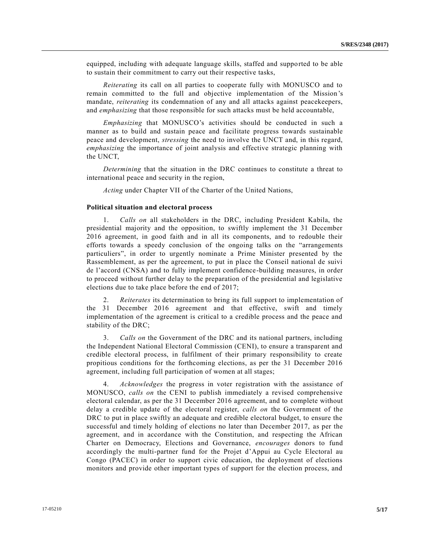equipped, including with adequate language skills, staffed and supported to be able to sustain their commitment to carry out their respective tasks,

*Reiterating* its call on all parties to cooperate fully with MONUSCO and to remain committed to the full and objective implementation of the Mission's mandate, *reiterating* its condemnation of any and all attacks against peacekeepers, and *emphasizing* that those responsible for such attacks must be held accountable,

*Emphasizing* that MONUSCO's activities should be conducted in such a manner as to build and sustain peace and facilitate progress towards sustainable peace and development, *stressing* the need to involve the UNCT and, in this regard, *emphasizing* the importance of joint analysis and effective strategic planning with the UNCT,

*Determining* that the situation in the DRC continues to constitute a threat to international peace and security in the region,

*Acting* under Chapter VII of the Charter of the United Nations,

#### **Political situation and electoral process**

1. *Calls on* all stakeholders in the DRC, including President Kabila, the presidential majority and the opposition, to swiftly implement the 31 December 2016 agreement, in good faith and in all its components, and to redouble their efforts towards a speedy conclusion of the ongoing talks on the "arrangements particuliers", in order to urgently nominate a Prime Minister presented by the Rassemblement, as per the agreement, to put in place the Conseil national de suivi de l'accord (CNSA) and to fully implement confidence-building measures, in order to proceed without further delay to the preparation of the presidential and legislative elections due to take place before the end of 2017;

2. *Reiterates* its determination to bring its full support to implementation of the 31 December 2016 agreement and that effective, swift and timely implementation of the agreement is critical to a credible process and the peace and stability of the DRC;

3. *Calls on* the Government of the DRC and its national partners, including the Independent National Electoral Commission (CENI), to ensure a transparent and credible electoral process, in fulfilment of their primary responsibility to create propitious conditions for the forthcoming elections, as per the 31 December 2016 agreement, including full participation of women at all stages;

4. *Acknowledges* the progress in voter registration with the assistance of MONUSCO, *calls on* the CENI to publish immediately a revised comprehensive electoral calendar, as per the 31 December 2016 agreement, and to complete without delay a credible update of the electoral register, *calls on* the Government of the DRC to put in place swiftly an adequate and credible electoral budget, to ensure the successful and timely holding of elections no later than December 2017, as per the agreement, and in accordance with the Constitution, and respecting the African Charter on Democracy, Elections and Governance, *encourages* donors to fund accordingly the multi-partner fund for the Projet d'Appui au Cycle Electoral au Congo (PACEC) in order to support civic education, the deployment of elections monitors and provide other important types of support for the election process, and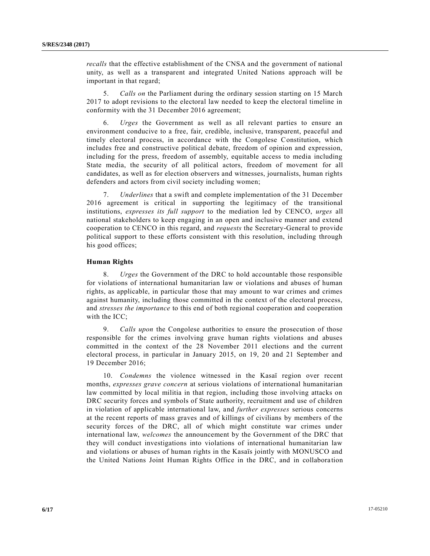*recalls* that the effective establishment of the CNSA and the government of national unity, as well as a transparent and integrated United Nations approach will be important in that regard;

5. *Calls on* the Parliament during the ordinary session starting on 15 March 2017 to adopt revisions to the electoral law needed to keep the electoral timeline in conformity with the 31 December 2016 agreement;

6. *Urges* the Government as well as all relevant parties to ensure an environment conducive to a free, fair, credible, inclusive, transparent, peaceful and timely electoral process, in accordance with the Congolese Constitution, which includes free and constructive political debate, freedom of opinion and expression, including for the press, freedom of assembly, equitable access to media including State media, the security of all political actors, freedom of movement for all candidates, as well as for election observers and witnesses, journalists, human rights defenders and actors from civil society including women;

7. *Underlines* that a swift and complete implementation of the 31 December 2016 agreement is critical in supporting the legitimacy of the transitional institutions, *expresses its full support* to the mediation led by CENCO, *urges* all national stakeholders to keep engaging in an open and inclusive manner and extend cooperation to CENCO in this regard, and *requests* the Secretary-General to provide political support to these efforts consistent with this resolution, including through his good offices;

## **Human Rights**

8. *Urges* the Government of the DRC to hold accountable those responsible for violations of international humanitarian law or violations and abuses of human rights, as applicable, in particular those that may amount to war crimes and crimes against humanity, including those committed in the context of the electoral process, and *stresses the importance* to this end of both regional cooperation and cooperation with the ICC;

9. *Calls upon* the Congolese authorities to ensure the prosecution of those responsible for the crimes involving grave human rights violations and abuses committed in the context of the 28 November 2011 elections and the current electoral process, in particular in January 2015, on 19, 20 and 21 September and 19 December 2016;

10. *Condemns* the violence witnessed in the Kasaï region over recent months, *expresses grave concern* at serious violations of international humanitarian law committed by local militia in that region, including those involving attacks on DRC security forces and symbols of State authority, recruitment and use of children in violation of applicable international law, and *further expresses* serious concerns at the recent reports of mass graves and of killings of civilians by members of the security forces of the DRC, all of which might constitute war crimes under international law, *welcomes* the announcement by the Government of the DRC that they will conduct investigations into violations of international humanitarian law and violations or abuses of human rights in the Kasaïs jointly with MONUSCO and the United Nations Joint Human Rights Office in the DRC, and in collaboration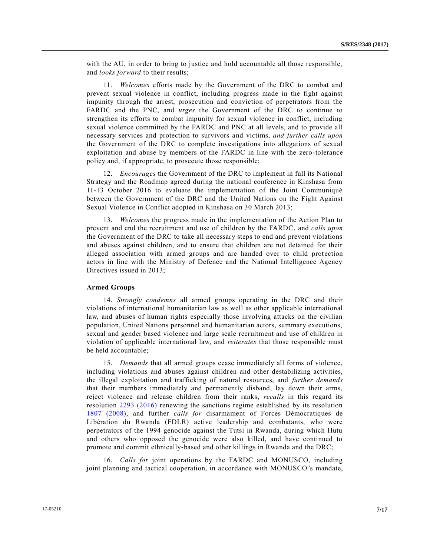with the AU, in order to bring to justice and hold accountable all those responsible, and *looks forward* to their results;

11. *Welcomes* efforts made by the Government of the DRC to combat and prevent sexual violence in conflict, including progress made in the fight against impunity through the arrest, prosecution and conviction of perpetrators from the FARDC and the PNC, and *urges* the Government of the DRC to continue to strengthen its efforts to combat impunity for sexual violence in conflict, including sexual violence committed by the FARDC and PNC at all levels, and to provide all necessary services and protection to survivors and victims, *and further calls upon* the Government of the DRC to complete investigations into allegations of sexual exploitation and abuse by members of the FARDC in line with the zero-tolerance policy and, if appropriate, to prosecute those responsible;

12. *Encourages* the Government of the DRC to implement in full its National Strategy and the Roadmap agreed during the national conference in Kinshasa from 11-13 October 2016 to evaluate the implementation of the Joint Communiqué between the Government of the DRC and the United Nations on the Fight Against Sexual Violence in Conflict adopted in Kinshasa on 30 March 2013;

13. *Welcomes* the progress made in the implementation of the Action Plan to prevent and end the recruitment and use of children by the FARDC, and *calls upon* the Government of the DRC to take all necessary steps to end and prevent violations and abuses against children, and to ensure that children are not detained for their alleged association with armed groups and are handed over to child protection actors in line with the Ministry of Defence and the National Intelligence Agency Directives issued in 2013;

#### **Armed Groups**

14. *Strongly condemns* all armed groups operating in the DRC and their violations of international humanitarian law as well as other applicable international law, and abuses of human rights especially those involving attacks on the civilian population, United Nations personnel and humanitarian actors, summary executions, sexual and gender based violence and large scale recruitment and use of children in violation of applicable international law, and *reiterates* that those responsible must be held accountable;

15. *Demands* that all armed groups cease immediately all forms of violence, including violations and abuses against children and other destabilizing activities, the illegal exploitation and trafficking of natural resources, and *further demands* that their members immediately and permanently disband, lay down their arms, reject violence and release children from their ranks, *recalls* in this regard its resolution [2293 \(2016\)](http://undocs.org/S/RES/2293(2016)) renewing the sanctions regime established by its resolution [1807 \(2008\),](http://undocs.org/S/RES/1807(2008)) and further *calls for* disarmament of Forces Démocratiques de Libération du Rwanda (FDLR) active leadership and combatants, who were perpetrators of the 1994 genocide against the Tutsi in Rwanda, during which Hutu and others who opposed the genocide were also killed, and have continued to promote and commit ethnically-based and other killings in Rwanda and the DRC;

16. *Calls for* joint operations by the FARDC and MONUSCO, including joint planning and tactical cooperation, in accordance with MONUSCO's mandate,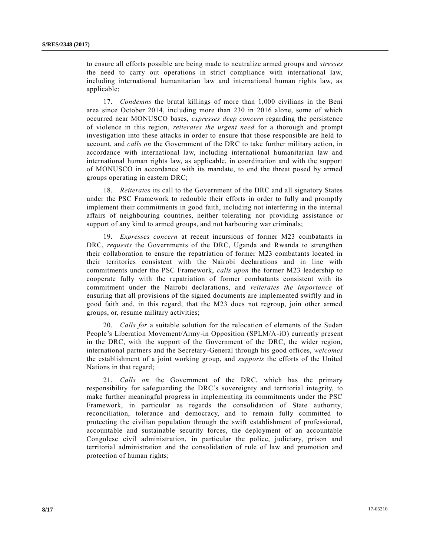to ensure all efforts possible are being made to neutralize armed groups and *stresses* the need to carry out operations in strict compliance with international law, including international humanitarian law and international human rights law, as applicable;

17. *Condemns* the brutal killings of more than 1,000 civilians in the Beni area since October 2014, including more than 230 in 2016 alone, some of which occurred near MONUSCO bases, *expresses deep concern* regarding the persistence of violence in this region, *reiterates the urgent need* for a thorough and prompt investigation into these attacks in order to ensure that those responsible are held to account, and *calls on* the Government of the DRC to take further military action, in accordance with international law, including international humanitarian law and international human rights law, as applicable, in coordination and with the support of MONUSCO in accordance with its mandate, to end the threat posed by armed groups operating in eastern DRC;

18. *Reiterates* its call to the Government of the DRC and all signatory States under the PSC Framework to redouble their efforts in order to fully and promptly implement their commitments in good faith, including not interfering in the internal affairs of neighbouring countries, neither tolerating nor providing assistance or support of any kind to armed groups, and not harbouring war criminals;

19. *Expresses concern* at recent incursions of former M23 combatants in DRC, *requests* the Governments of the DRC, Uganda and Rwanda to strengthen their collaboration to ensure the repatriation of former M23 combatants located in their territories consistent with the Nairobi declarations and in line with commitments under the PSC Framework, *calls upon* the former M23 leadership to cooperate fully with the repatriation of former combatants consistent with its commitment under the Nairobi declarations, and *reiterates the importance* of ensuring that all provisions of the signed documents are implemented swiftly and in good faith and, in this regard, that the M23 does not regroup, join other armed groups, or, resume military activities;

20. *Calls for* a suitable solution for the relocation of elements of the Sudan People's Liberation Movement/Army-in Opposition (SPLM/A-iO) currently present in the DRC, with the support of the Government of the DRC, the wider region, international partners and the Secretary-General through his good offices, *welcomes*  the establishment of a joint working group, and *supports* the efforts of the United Nations in that regard;

21. *Calls on* the Government of the DRC, which has the primary responsibility for safeguarding the DRC's sovereignty and territorial integrity, to make further meaningful progress in implementing its commitments under the PSC Framework, in particular as regards the consolidation of State authority, reconciliation, tolerance and democracy, and to remain fully committed to protecting the civilian population through the swift establishment of professional, accountable and sustainable security forces, the deployment of an accountable Congolese civil administration, in particular the police, judiciary, prison and territorial administration and the consolidation of rule of law and promotion and protection of human rights;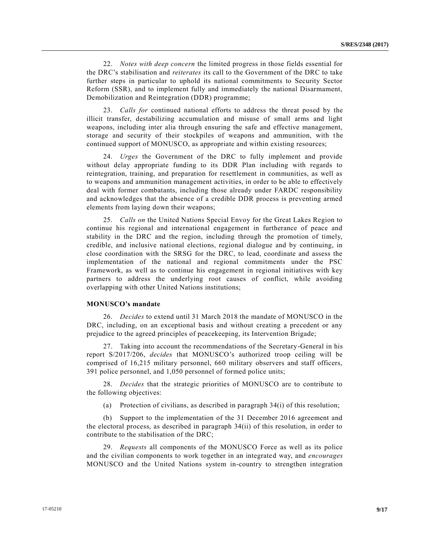22. *Notes with deep concern* the limited progress in those fields essential for the DRC's stabilisation and *reiterates* its call to the Government of the DRC to take further steps in particular to uphold its national commitments to Security Sector Reform (SSR), and to implement fully and immediately the national Disarmament, Demobilization and Reintegration (DDR) programme;

23. *Calls for* continued national efforts to address the threat posed by the illicit transfer, destabilizing accumulation and misuse of small arms and light weapons, including inter alia through ensuring the safe and effective management, storage and security of their stockpiles of weapons and ammunition, with the continued support of MONUSCO, as appropriate and within existing resources;

24. *Urges* the Government of the DRC to fully implement and provide without delay appropriate funding to its DDR Plan including with regards to reintegration, training, and preparation for resettlement in communities, as well as to weapons and ammunition management activities, in order to be able to effectively deal with former combatants, including those already under FARDC responsibility and acknowledges that the absence of a credible DDR process is preventing armed elements from laying down their weapons;

25. *Calls on* the United Nations Special Envoy for the Great Lakes Region to continue his regional and international engagement in furtherance of peace and stability in the DRC and the region, including through the promotion of timely, credible, and inclusive national elections, regional dialogue and by continuing, in close coordination with the SRSG for the DRC, to lead, coordinate and assess the implementation of the national and regional commitments under the PSC Framework, as well as to continue his engagement in regional initiatives with key partners to address the underlying root causes of conflict, while avoiding overlapping with other United Nations institutions;

#### **MONUSCO's mandate**

26. *Decides* to extend until 31 March 2018 the mandate of MONUSCO in the DRC, including, on an exceptional basis and without creating a precedent or any prejudice to the agreed principles of peacekeeping, its Intervention Brigade;

27. Taking into account the recommendations of the Secretary-General in his report [S/2017/206,](http://undocs.org/S/2017/2016) *decides* that MONUSCO's authorized troop ceiling will be comprised of 16,215 military personnel, 660 military observers and staff officers, 391 police personnel, and 1,050 personnel of formed police units;

28. *Decides* that the strategic priorities of MONUSCO are to contribute to the following objectives:

(a) Protection of civilians, as described in paragraph 34(i) of this resolution;

(b) Support to the implementation of the 31 December 2016 agreement and the electoral process, as described in paragraph 34(ii) of this resolution, in order to contribute to the stabilisation of the DRC;

29. *Requests* all components of the MONUSCO Force as well as its police and the civilian components to work together in an integrated way, and *encourages*  MONUSCO and the United Nations system in-country to strengthen integration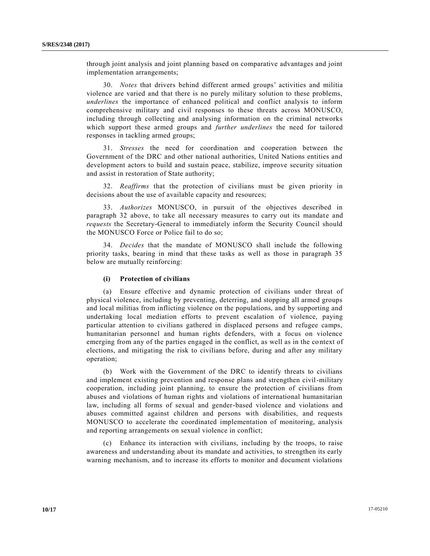through joint analysis and joint planning based on comparative advantages and joint implementation arrangements;

30. *Notes* that drivers behind different armed groups' activities and militia violence are varied and that there is no purely military solution to these problems, *underlines* the importance of enhanced political and conflict analysis to inform comprehensive military and civil responses to these threats across MONUSCO, including through collecting and analysing information on the criminal networks which support these armed groups and *further underlines* the need for tailored responses in tackling armed groups;

31. *Stresses* the need for coordination and cooperation between the Government of the DRC and other national authorities, United Nations entities and development actors to build and sustain peace, stabilize, improve security situation and assist in restoration of State authority;

32. *Reaffirms* that the protection of civilians must be given priority in decisions about the use of available capacity and resources;

33. *Authorizes* MONUSCO, in pursuit of the objectives described in paragraph 32 above, to take all necessary measures to carry out its mandate and *requests* the Secretary-General to immediately inform the Security Council should the MONUSCO Force or Police fail to do so;

34. *Decides* that the mandate of MONUSCO shall include the following priority tasks, bearing in mind that these tasks as well as those in paragraph 35 below are mutually reinforcing:

## **(i) Protection of civilians**

(a) Ensure effective and dynamic protection of civilians under threat of physical violence, including by preventing, deterring, and stopping all armed groups and local militias from inflicting violence on the populations, and by supporting and undertaking local mediation efforts to prevent escalation of violence, paying particular attention to civilians gathered in displaced persons and refugee camps, humanitarian personnel and human rights defenders, with a focus on violence emerging from any of the parties engaged in the conflict, as well as in the co ntext of elections, and mitigating the risk to civilians before, during and after any military operation;

(b) Work with the Government of the DRC to identify threats to civilians and implement existing prevention and response plans and strengthen civil-military cooperation, including joint planning, to ensure the protection of civilians from abuses and violations of human rights and violations of international humanitarian law, including all forms of sexual and gender-based violence and violations and abuses committed against children and persons with disabilities, and requests MONUSCO to accelerate the coordinated implementation of monitoring, analysis and reporting arrangements on sexual violence in conflict;

(c) Enhance its interaction with civilians, including by the troops, to raise awareness and understanding about its mandate and activities, to strengthen its early warning mechanism, and to increase its efforts to monitor and document violations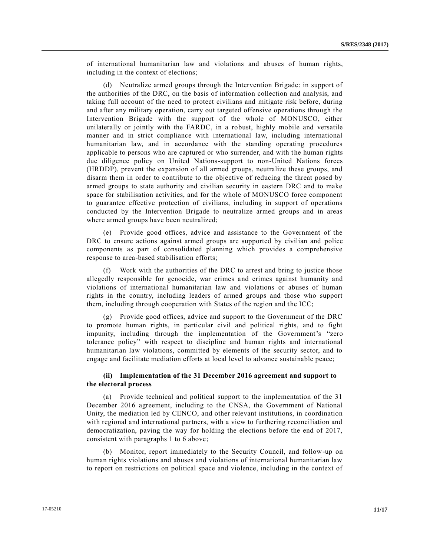of international humanitarian law and violations and abuses of human rights, including in the context of elections;

(d) Neutralize armed groups through the Intervention Brigade: in support of the authorities of the DRC, on the basis of information collection and analysis, and taking full account of the need to protect civilians and mitigate risk before, during and after any military operation, carry out targeted offensive operations through the Intervention Brigade with the support of the whole of MONUSCO, either unilaterally or jointly with the FARDC, in a robust, highly mobile and versatile manner and in strict compliance with international law, including international humanitarian law, and in accordance with the standing operating procedures applicable to persons who are captured or who surrender, and with the human rights due diligence policy on United Nations-support to non-United Nations forces (HRDDP), prevent the expansion of all armed groups, neutralize these groups, and disarm them in order to contribute to the objective of reducing the threat posed by armed groups to state authority and civilian security in eastern DRC and to make space for stabilisation activities, and for the whole of MONUSCO force component to guarantee effective protection of civilians, including in support of operations conducted by the Intervention Brigade to neutralize armed groups and in areas where armed groups have been neutralized;

(e) Provide good offices, advice and assistance to the Government of the DRC to ensure actions against armed groups are supported by civilian and police components as part of consolidated planning which provides a comprehensive response to area-based stabilisation efforts;

(f) Work with the authorities of the DRC to arrest and bring to justice those allegedly responsible for genocide, war crimes and crimes against humanity and violations of international humanitarian law and violations or abuses of human rights in the country, including leaders of armed groups and those who support them, including through cooperation with States of the region and the ICC;

(g) Provide good offices, advice and support to the Government of the DRC to promote human rights, in particular civil and political rights, and to fight impunity, including through the implementation of the Government's "zero tolerance policy" with respect to discipline and human rights and international humanitarian law violations, committed by elements of the security sector, and to engage and facilitate mediation efforts at local level to advance sustainable peace;

#### **(ii) Implementation of the 31 December 2016 agreement and support to the electoral process**

(a) Provide technical and political support to the implementation of the 31 December 2016 agreement, including to the CNSA, the Government of National Unity, the mediation led by CENCO, and other relevant institutions, in coordination with regional and international partners, with a view to furthering reconciliation and democratization, paving the way for holding the elections before the end of 2017, consistent with paragraphs 1 to 6 above;

(b) Monitor, report immediately to the Security Council, and follow-up on human rights violations and abuses and violations of international humanitarian law to report on restrictions on political space and violence, including in the context of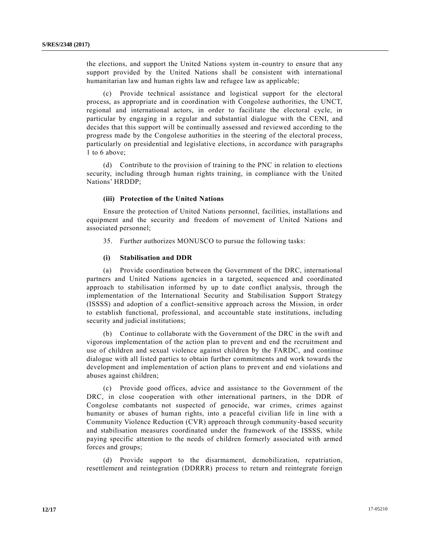the elections, and support the United Nations system in-country to ensure that any support provided by the United Nations shall be consistent with international humanitarian law and human rights law and refugee law as applicable;

(c) Provide technical assistance and logistical support for the electoral process, as appropriate and in coordination with Congolese authorities, the UNCT, regional and international actors, in order to facilitate the electoral cycle, in particular by engaging in a regular and substantial dialogue with the CENI, and decides that this support will be continually assessed and reviewed according to the progress made by the Congolese authorities in the steering of the electoral process, particularly on presidential and legislative elections, in accordance with paragraphs 1 to 6 above;

(d) Contribute to the provision of training to the PNC in relation to elections security, including through human rights training, in compliance with the United Nations' HRDDP;

#### **(iii) Protection of the United Nations**

Ensure the protection of United Nations personnel, facilities, installations and equipment and the security and freedom of movement of United Nations and associated personnel;

35. Further authorizes MONUSCO to pursue the following tasks:

#### **(i) Stabilisation and DDR**

(a) Provide coordination between the Government of the DRC, international partners and United Nations agencies in a targeted, sequenced and coordinated approach to stabilisation informed by up to date conflict analysis, through the implementation of the International Security and Stabilisation Support Strategy (ISSSS) and adoption of a conflict-sensitive approach across the Mission, in order to establish functional, professional, and accountable state institutions, including security and judicial institutions;

(b) Continue to collaborate with the Government of the DRC in the swift and vigorous implementation of the action plan to prevent and end the recruitment and use of children and sexual violence against children by the FARDC, and continue dialogue with all listed parties to obtain further commitments and work towards the development and implementation of action plans to prevent and end violations and abuses against children;

(c) Provide good offices, advice and assistance to the Government of the DRC, in close cooperation with other international partners, in the DDR of Congolese combatants not suspected of genocide, war crimes, crimes against humanity or abuses of human rights, into a peaceful civilian life in line with a Community Violence Reduction (CVR) approach through community-based security and stabilisation measures coordinated under the framework of the ISSSS, while paying specific attention to the needs of children formerly associated with armed forces and groups;

(d) Provide support to the disarmament, demobilization, repatriation, resettlement and reintegration (DDRRR) process to return and reintegrate foreign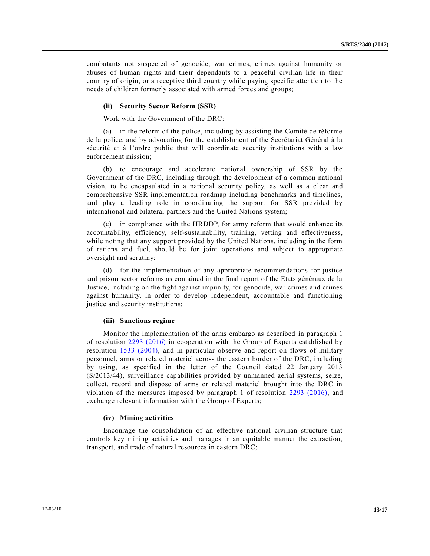combatants not suspected of genocide, war crimes, crimes against humanity or abuses of human rights and their dependants to a peaceful civilian life in their country of origin, or a receptive third country while paying specific attention to the needs of children formerly associated with armed forces and groups;

#### **(ii) Security Sector Reform (SSR)**

Work with the Government of the DRC:

(a) in the reform of the police, including by assisting the Comité de réforme de la police, and by advocating for the establishment of the Secrétariat Général à la sécurité et à l'ordre public that will coordinate security institutions with a law enforcement mission;

(b) to encourage and accelerate national ownership of SSR by the Government of the DRC, including through the development of a common national vision, to be encapsulated in a national security policy, as well as a clear and comprehensive SSR implementation roadmap including benchmarks and timelines, and play a leading role in coordinating the support for SSR provided by international and bilateral partners and the United Nations system;

(c) in compliance with the HRDDP, for army reform that would enhance its accountability, efficiency, self-sustainability, training, vetting and effectiveness, while noting that any support provided by the United Nations, including in the form of rations and fuel, should be for joint operations and subject to appropriate oversight and scrutiny;

(d) for the implementation of any appropriate recommendations for justice and prison sector reforms as contained in the final report of the Etats généraux de la Justice, including on the fight against impunity, for genocide, war crimes and crimes against humanity, in order to develop independent, accountable and functioning justice and security institutions;

#### **(iii) Sanctions regime**

Monitor the implementation of the arms embargo as described in paragraph 1 of resolution [2293 \(2016\)](http://undocs.org/S/RES/2293(2016)) in cooperation with the Group of Experts established by resolution [1533 \(2004\),](http://undocs.org/S/RES/1533(2004)) and in particular observe and report on flows of military personnel, arms or related materiel across the eastern border of the DRC, including by using, as specified in the letter of the Council dated 22 January 2013 [\(S/2013/44\)](http://undocs.org/S/2013/44), surveillance capabilities provided by unmanned aerial systems, seize, collect, record and dispose of arms or related materiel brought into the DRC in violation of the measures imposed by paragraph 1 of resolution [2293 \(2016\),](http://undocs.org/S/RES/2293(2016)) and exchange relevant information with the Group of Experts;

#### **(iv) Mining activities**

Encourage the consolidation of an effective national civilian structure that controls key mining activities and manages in an equitable manner the extraction, transport, and trade of natural resources in eastern DRC;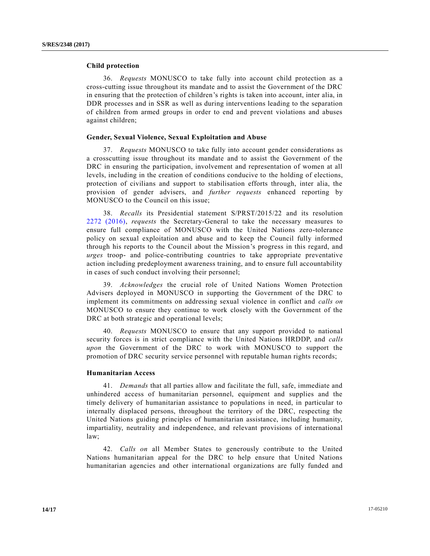## **Child protection**

36. *Requests* MONUSCO to take fully into account child protection as a cross-cutting issue throughout its mandate and to assist the Government of the DRC in ensuring that the protection of children's rights is taken into account, inter alia, in DDR processes and in SSR as well as during interventions leading to the separation of children from armed groups in order to end and prevent violations and abuses against children;

#### **Gender, Sexual Violence, Sexual Exploitation and Abuse**

37. *Requests* MONUSCO to take fully into account gender considerations as a crosscutting issue throughout its mandate and to assist the Government of the DRC in ensuring the participation, involvement and representation of women at all levels, including in the creation of conditions conducive to the holding of elections, protection of civilians and support to stabilisation efforts through, inter alia, the provision of gender advisers, and *further requests* enhanced reporting by MONUSCO to the Council on this issue;

38. *Recalls* its Presidential statement [S/PRST/2015/22](http://undocs.org/S/PRST/2015/22) and its resolution [2272 \(2016\),](http://undocs.org/S/RES/2272(2016)) *requests* the Secretary-General to take the necessary measures to ensure full compliance of MONUSCO with the United Nations zero-tolerance policy on sexual exploitation and abuse and to keep the Council fully informed through his reports to the Council about the Mission's progress in this regard, and *urges* troop- and police-contributing countries to take appropriate preventative action including predeployment awareness training, and to ensure full accountability in cases of such conduct involving their personnel;

39. *Acknowledges* the crucial role of United Nations Women Protection Advisers deployed in MONUSCO in supporting the Government of the DRC to implement its commitments on addressing sexual violence in conflict and *calls on* MONUSCO to ensure they continue to work closely with the Government of the DRC at both strategic and operational levels;

40. *Requests* MONUSCO to ensure that any support provided to national security forces is in strict compliance with the United Nations HRDDP, and *calls upon* the Government of the DRC to work with MONUSCO to support the promotion of DRC security service personnel with reputable human rights records;

#### **Humanitarian Access**

41. *Demands* that all parties allow and facilitate the full, safe, immediate and unhindered access of humanitarian personnel, equipment and supplies and the timely delivery of humanitarian assistance to populations in need, in particular to internally displaced persons, throughout the territory of the DRC, respecting the United Nations guiding principles of humanitarian assistance, including humanity, impartiality, neutrality and independence, and relevant provisions of international law;

42. *Calls on* all Member States to generously contribute to the United Nations humanitarian appeal for the DRC to help ensure that United Nations humanitarian agencies and other international organizations are fully funded and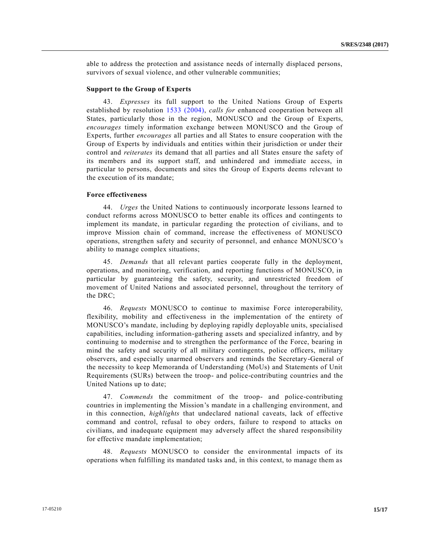able to address the protection and assistance needs of internally displaced persons, survivors of sexual violence, and other vulnerable communities;

#### **Support to the Group of Experts**

43. *Expresses* its full support to the United Nations Group of Experts established by resolution [1533 \(2004\),](http://undocs.org/S/RES/1533(2004)) *calls for* enhanced cooperation between all States, particularly those in the region, MONUSCO and the Group of Experts, *encourages* timely information exchange between MONUSCO and the Group of Experts, further *encourages* all parties and all States to ensure cooperation with the Group of Experts by individuals and entities within their jurisdiction or under their control and *reiterates* its demand that all parties and all States ensure the safety of its members and its support staff, and unhindered and immediate access, in particular to persons, documents and sites the Group of Experts deems relevant to the execution of its mandate;

#### **Force effectiveness**

44. *Urges* the United Nations to continuously incorporate lessons learned to conduct reforms across MONUSCO to better enable its offices and contingents to implement its mandate, in particular regarding the protection of civilians, and to improve Mission chain of command, increase the effectiveness of MONUSCO operations, strengthen safety and security of personnel, and enhance MONUSCO's ability to manage complex situations;

45. *Demands* that all relevant parties cooperate fully in the deployment, operations, and monitoring, verification, and reporting functions of MONUSCO, in particular by guaranteeing the safety, security, and unrestricted freedom of movement of United Nations and associated personnel, throughout the territory of the DRC;

46. *Requests* MONUSCO to continue to maximise Force interoperability, flexibility, mobility and effectiveness in the implementation of the entirety of MONUSCO's mandate, including by deploying rapidly deployable units, specialised capabilities, including information-gathering assets and specialized infantry, and by continuing to modernise and to strengthen the performance of the Force, bearing in mind the safety and security of all military contingents, police officers, military observers, and especially unarmed observers and reminds the Secretary-General of the necessity to keep Memoranda of Understanding (MoUs) and Statements of Unit Requirements (SURs) between the troop- and police-contributing countries and the United Nations up to date;

47. *Commends* the commitment of the troop- and police-contributing countries in implementing the Mission's mandate in a challenging environment, and in this connection, *highlights* that undeclared national caveats, lack of effective command and control, refusal to obey orders, failure to respond to attacks on civilians, and inadequate equipment may adversely affect the shared responsibility for effective mandate implementation;

48. *Requests* MONUSCO to consider the environmental impacts of its operations when fulfilling its mandated tasks and, in this context, to manage them as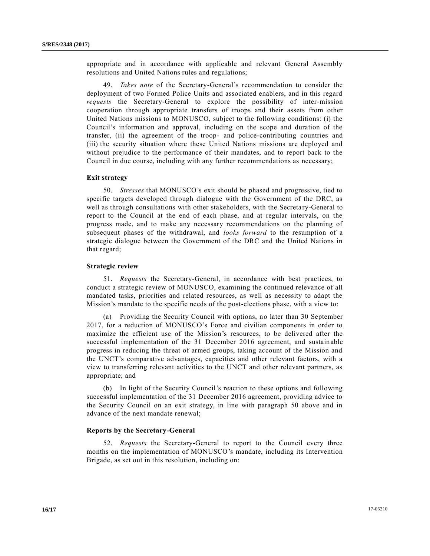appropriate and in accordance with applicable and relevant General Assembly resolutions and United Nations rules and regulations;

49. *Takes note* of the Secretary-General's recommendation to consider the deployment of two Formed Police Units and associated enablers, and in this regard *requests* the Secretary-General to explore the possibility of inter-mission cooperation through appropriate transfers of troops and their assets from other United Nations missions to MONUSCO, subject to the following conditions: (i) the Council's information and approval, including on the scope and duration of the transfer, (ii) the agreement of the troop- and police-contributing countries and (iii) the security situation where these United Nations missions are deployed and without prejudice to the performance of their mandates, and to report back to the Council in due course, including with any further recommendations as necessary;

#### **Exit strategy**

50. *Stresses* that MONUSCO's exit should be phased and progressive, tied to specific targets developed through dialogue with the Government of the DRC, as well as through consultations with other stakeholders, with the Secretary-General to report to the Council at the end of each phase, and at regular intervals, on the progress made, and to make any necessary recommendations on the planning of subsequent phases of the withdrawal, and *looks forward* to the resumption of a strategic dialogue between the Government of the DRC and the United Nations in that regard;

#### **Strategic review**

51. *Requests* the Secretary-General, in accordance with best practices, to conduct a strategic review of MONUSCO, examining the continued relevance of all mandated tasks, priorities and related resources, as well as necessity to adapt the Mission's mandate to the specific needs of the post-elections phase, with a view to:

(a) Providing the Security Council with options, no later than 30 September 2017, for a reduction of MONUSCO's Force and civilian components in order to maximize the efficient use of the Mission's resources, to be delivered after the successful implementation of the 31 December 2016 agreement, and sustainable progress in reducing the threat of armed groups, taking account of the Mission and the UNCT's comparative advantages, capacities and other relevant factors, with a view to transferring relevant activities to the UNCT and other relevant partners, as appropriate; and

(b) In light of the Security Council's reaction to these options and following successful implementation of the 31 December 2016 agreement, providing advice to the Security Council on an exit strategy, in line with paragraph 50 above and in advance of the next mandate renewal;

#### **Reports by the Secretary-General**

52. *Requests* the Secretary-General to report to the Council every three months on the implementation of MONUSCO's mandate, including its Intervention Brigade, as set out in this resolution, including on: